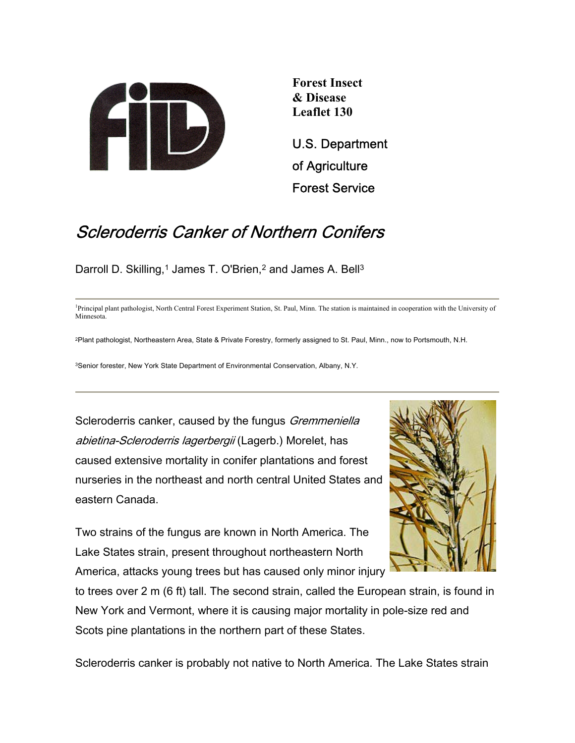

**Forest Insect & Disease Leaflet 130** 

U.S. Department of Agriculture Forest Service

# Scleroderris Canker of Northern Conifers

Darroll D. Skilling,<sup>1</sup> James T. O'Brien,<sup>2</sup> and James A. Bell<sup>3</sup>

<sup>1</sup>Principal plant pathologist, North Central Forest Experiment Station, St. Paul, Minn. The station is maintained in cooperation with the University of Minnesota.

2Plant pathologist, Northeastern Area, State & Private Forestry, formerly assigned to St. Paul, Minn., now to Portsmouth, N.H.

3Senior forester, New York State Department of Environmental Conservation, Albany, N.Y.

Scleroderris canker, caused by the fungus *Gremmeniella* abietina-Scleroderris lagerbergii (Lagerb.) Morelet, has caused extensive mortality in conifer plantations and forest nurseries in the northeast and north central United States and eastern Canada.

Two strains of the fungus are known in North America. The Lake States strain, present throughout northeastern North America, attacks young trees but has caused only minor injury



to trees over 2 m (6 ft) tall. The second strain, called the European strain, is found in New York and Vermont, where it is causing major mortality in pole-size red and Scots pine plantations in the northern part of these States.

Scleroderris canker is probably not native to North America. The Lake States strain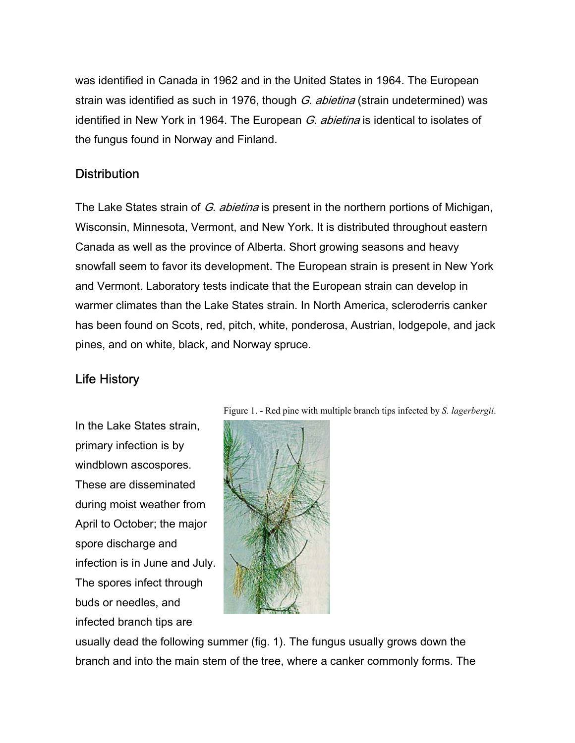was identified in Canada in 1962 and in the United States in 1964. The European strain was identified as such in 1976, though G. abietina (strain undetermined) was identified in New York in 1964. The European G. abietina is identical to isolates of the fungus found in Norway and Finland.

#### **Distribution**

The Lake States strain of G. abietina is present in the northern portions of Michigan, Wisconsin, Minnesota, Vermont, and New York. It is distributed throughout eastern Canada as well as the province of Alberta. Short growing seasons and heavy snowfall seem to favor its development. The European strain is present in New York and Vermont. Laboratory tests indicate that the European strain can develop in warmer climates than the Lake States strain. In North America, scleroderris canker has been found on Scots, red, pitch, white, ponderosa, Austrian, lodgepole, and jack pines, and on white, black, and Norway spruce.

## Life History

In the Lake States strain, primary infection is by windblown ascospores. These are disseminated during moist weather from April to October; the major spore discharge and infection is in June and July. The spores infect through buds or needles, and infected branch tips are



Figure 1. - Red pine with multiple branch tips infected by *S. lagerbergii*.

usually dead the following summer (fig. 1). The fungus usually grows down the branch and into the main stem of the tree, where a canker commonly forms. The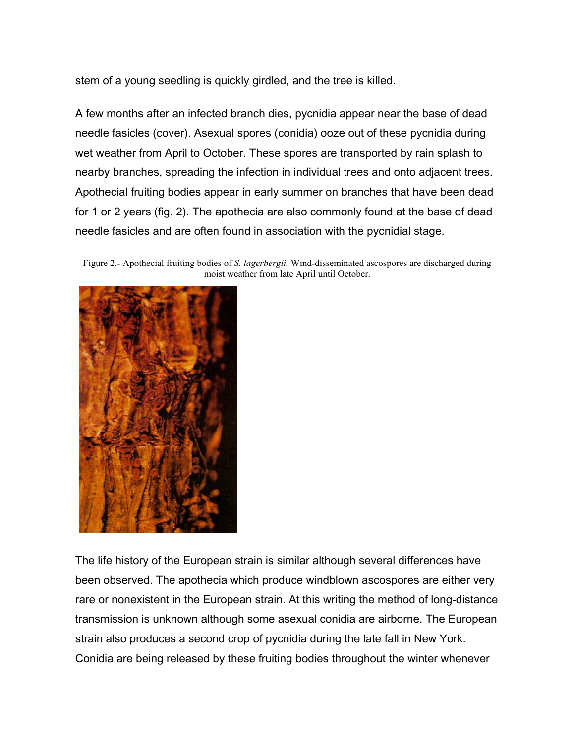stem of a young seedling is quickly girdled, and the tree is killed.

A few months after an infected branch dies, pycnidia appear near the base of dead needle fasicles (cover). Asexual spores (conidia) ooze out of these pycnidia during wet weather from April to October. These spores are transported by rain splash to nearby branches, spreading the infection in individual trees and onto adjacent trees. Apothecial fruiting bodies appear in early summer on branches that have been dead for 1 or 2 years (fig. 2). The apothecia are also commonly found at the base of dead needle fasicles and are often found in association with the pycnidial stage.

Figure 2.- Apothecial fruiting bodies of *S. lagerbergii.* Wind-disseminated ascospores are discharged during moist weather from late April until October.



The life history of the European strain is similar although several differences have been observed. The apothecia which produce windblown ascospores are either very rare or nonexistent in the European strain. At this writing the method of long-distance transmission is unknown although some asexual conidia are airborne. The European strain also produces a second crop of pycnidia during the late fall in New York. Conidia are being released by these fruiting bodies throughout the winter whenever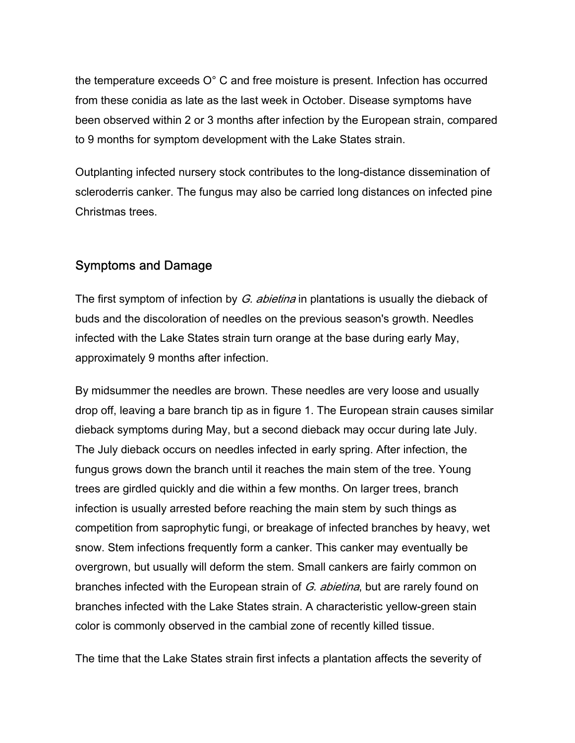the temperature exceeds O° C and free moisture is present. Infection has occurred from these conidia as late as the last week in October. Disease symptoms have been observed within 2 or 3 months after infection by the European strain, compared to 9 months for symptom development with the Lake States strain.

Outplanting infected nursery stock contributes to the long-distance dissemination of scleroderris canker. The fungus may also be carried long distances on infected pine Christmas trees.

## Symptoms and Damage

The first symptom of infection by G. abietina in plantations is usually the dieback of buds and the discoloration of needles on the previous season's growth. Needles infected with the Lake States strain turn orange at the base during early May, approximately 9 months after infection.

By midsummer the needles are brown. These needles are very loose and usually drop off, leaving a bare branch tip as in figure 1. The European strain causes similar dieback symptoms during May, but a second dieback may occur during late July. The July dieback occurs on needles infected in early spring. After infection, the fungus grows down the branch until it reaches the main stem of the tree. Young trees are girdled quickly and die within a few months. On larger trees, branch infection is usually arrested before reaching the main stem by such things as competition from saprophytic fungi, or breakage of infected branches by heavy, wet snow. Stem infections frequently form a canker. This canker may eventually be overgrown, but usually will deform the stem. Small cankers are fairly common on branches infected with the European strain of G. abietina, but are rarely found on branches infected with the Lake States strain. A characteristic yellow-green stain color is commonly observed in the cambial zone of recently killed tissue.

The time that the Lake States strain first infects a plantation affects the severity of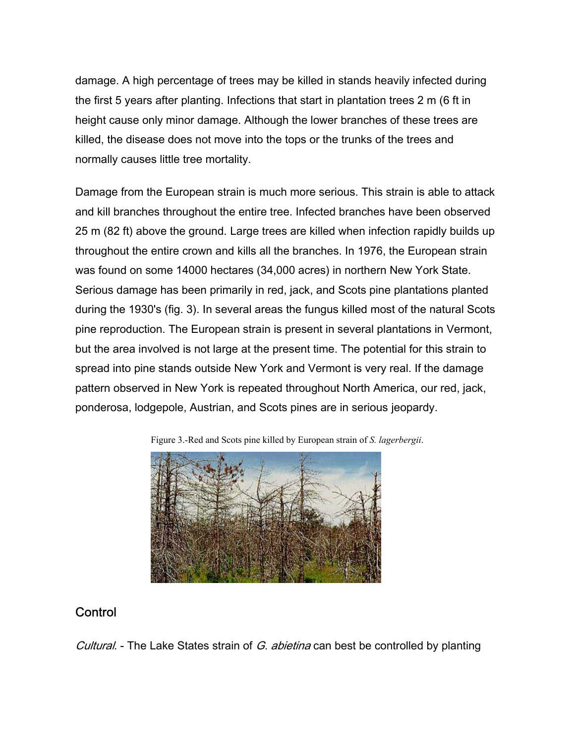damage. A high percentage of trees may be killed in stands heavily infected during the first 5 years after planting. Infections that start in plantation trees 2 m (6 ft in height cause only minor damage. Although the lower branches of these trees are killed, the disease does not move into the tops or the trunks of the trees and normally causes little tree mortality.

Damage from the European strain is much more serious. This strain is able to attack and kill branches throughout the entire tree. Infected branches have been observed 25 m (82 ft) above the ground. Large trees are killed when infection rapidly builds up throughout the entire crown and kills all the branches. In 1976, the European strain was found on some 14000 hectares (34,000 acres) in northern New York State. Serious damage has been primarily in red, jack, and Scots pine plantations planted during the 1930's (fig. 3). In several areas the fungus killed most of the natural Scots pine reproduction. The European strain is present in several plantations in Vermont, but the area involved is not large at the present time. The potential for this strain to spread into pine stands outside New York and Vermont is very real. If the damage pattern observed in New York is repeated throughout North America, our red, jack, ponderosa, lodgepole, Austrian, and Scots pines are in serious jeopardy.

Figure 3.-Red and Scots pine killed by European strain of *S. lagerbergii*.



## **Control**

Cultural. - The Lake States strain of G. abietina can best be controlled by planting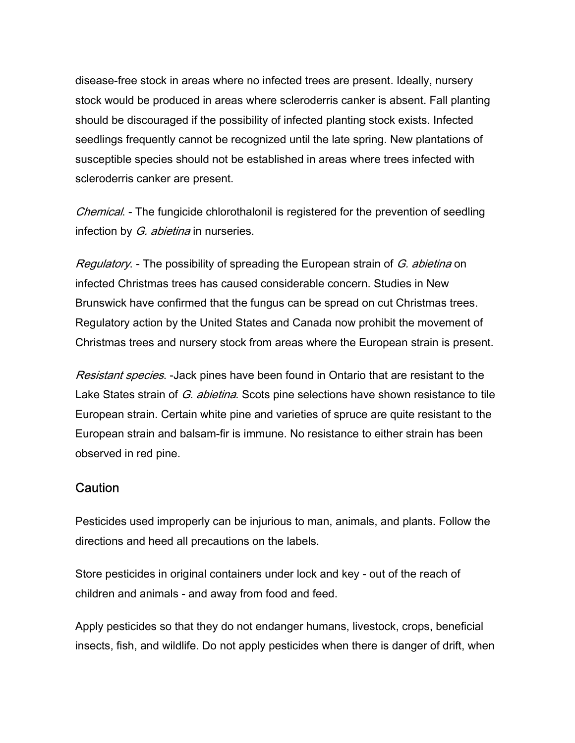disease-free stock in areas where no infected trees are present. Ideally, nursery stock would be produced in areas where scleroderris canker is absent. Fall planting should be discouraged if the possibility of infected planting stock exists. Infected seedlings frequently cannot be recognized until the late spring. New plantations of susceptible species should not be established in areas where trees infected with scleroderris canker are present.

Chemical. - The fungicide chlorothalonil is registered for the prevention of seedling infection by *G. abietina* in nurseries.

Regulatory. - The possibility of spreading the European strain of G. abietina on infected Christmas trees has caused considerable concern. Studies in New Brunswick have confirmed that the fungus can be spread on cut Christmas trees. Regulatory action by the United States and Canada now prohibit the movement of Christmas trees and nursery stock from areas where the European strain is present.

Resistant species. -Jack pines have been found in Ontario that are resistant to the Lake States strain of G. abietina. Scots pine selections have shown resistance to tile European strain. Certain white pine and varieties of spruce are quite resistant to the European strain and balsam-fir is immune. No resistance to either strain has been observed in red pine.

#### **Caution**

Pesticides used improperly can be injurious to man, animals, and plants. Follow the directions and heed all precautions on the labels.

Store pesticides in original containers under lock and key - out of the reach of children and animals - and away from food and feed.

Apply pesticides so that they do not endanger humans, livestock, crops, beneficial insects, fish, and wildlife. Do not apply pesticides when there is danger of drift, when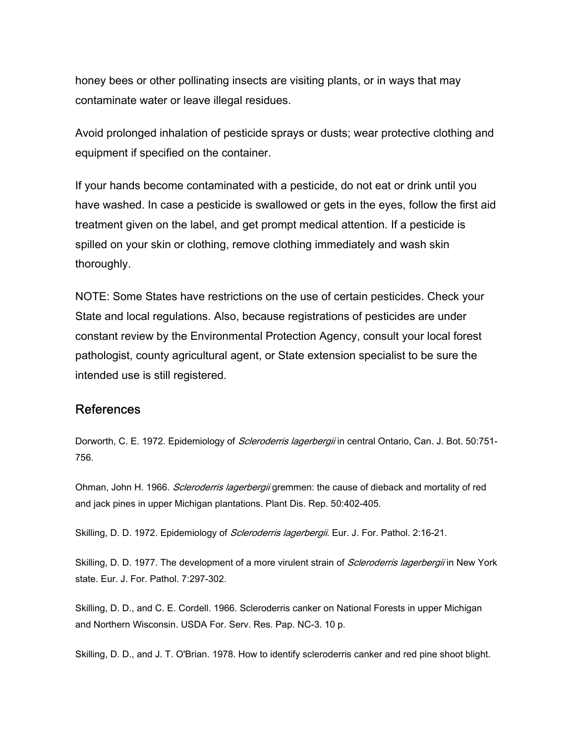honey bees or other pollinating insects are visiting plants, or in ways that may contaminate water or leave illegal residues.

Avoid prolonged inhalation of pesticide sprays or dusts; wear protective clothing and equipment if specified on the container.

If your hands become contaminated with a pesticide, do not eat or drink until you have washed. In case a pesticide is swallowed or gets in the eyes, follow the first aid treatment given on the label, and get prompt medical attention. If a pesticide is spilled on your skin or clothing, remove clothing immediately and wash skin thoroughly.

NOTE: Some States have restrictions on the use of certain pesticides. Check your State and local regulations. Also, because registrations of pesticides are under constant review by the Environmental Protection Agency, consult your local forest pathologist, county agricultural agent, or State extension specialist to be sure the intended use is still registered.

#### References

Dorworth, C. E. 1972. Epidemiology of *Scleroderris lagerbergii* in central Ontario, Can. J. Bot. 50:751-756.

Ohman, John H. 1966. Scleroderris lagerbergii gremmen: the cause of dieback and mortality of red and jack pines in upper Michigan plantations. Plant Dis. Rep. 50:402-405.

Skilling, D. D. 1972. Epidemiology of Scleroderris lagerbergii. Eur. J. For. Pathol. 2:16-21.

Skilling, D. D. 1977. The development of a more virulent strain of *Scleroderris lagerbergii* in New York state. Eur. J. For. Pathol. 7:297-302.

Skilling, D. D., and C. E. Cordell. 1966. Scleroderris canker on National Forests in upper Michigan and Northern Wisconsin. USDA For. Serv. Res. Pap. NC-3. 10 p.

Skilling, D. D., and J. T. O'Brian. 1978. How to identify scleroderris canker and red pine shoot blight.